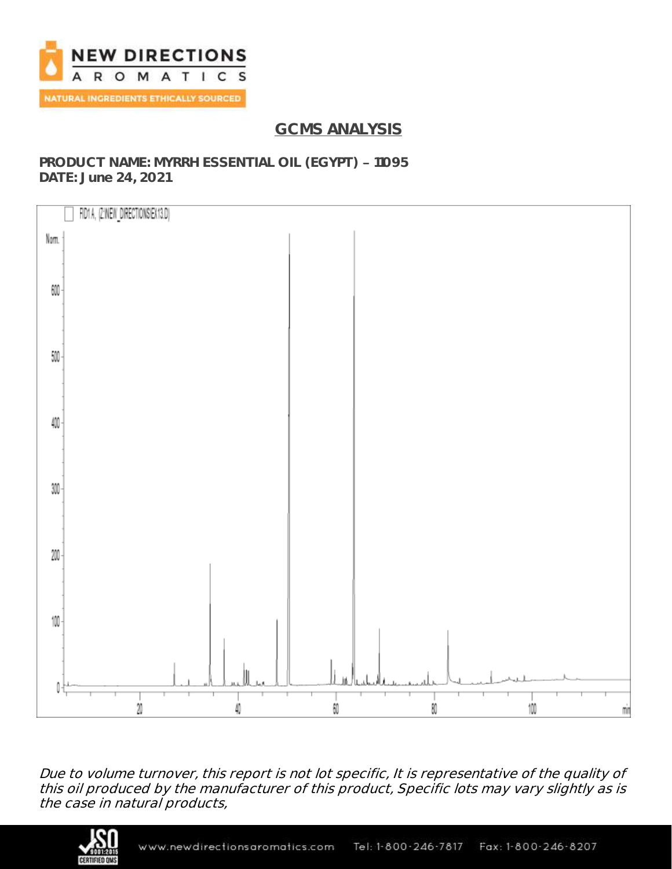

# **GCMS ANALYSIS**

### **PRODUCT NAME: MYRRH ESSENTIAL OIL (EGYPT) - 11095 DATE: June 24, 2021**



Due to volume turnover, this report is not lot specific, It is representative of the quality of this oil produced by the manufacturer of this product, Specific lots may vary slightly as is the case in natural products,

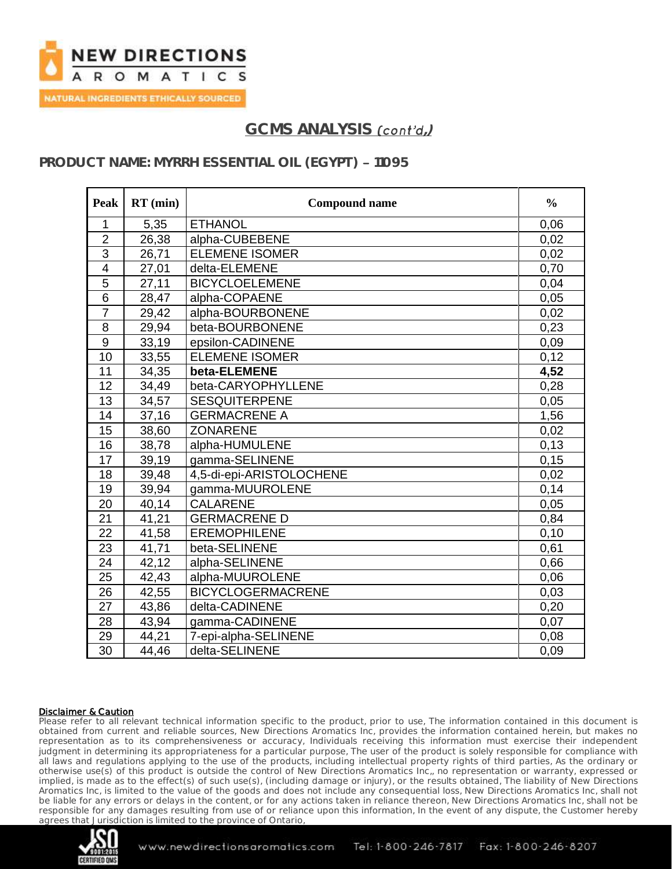

### **PRODUCT NAME: MYRRH ESSENTIAL OIL (EGYPT) - 11095**

| Peak             | $RT$ (min) | <b>Compound name</b>     | $\frac{0}{0}$ |
|------------------|------------|--------------------------|---------------|
| 1                | 5,35       | <b>ETHANOL</b>           | 0,06          |
| $\overline{2}$   | 26,38      | alpha-CUBEBENE           | 0,02          |
| 3                | 26,71      | <b>ELEMENE ISOMER</b>    | 0,02          |
| $\overline{4}$   | 27,01      | delta-ELEMENE            | 0,70          |
| 5                | 27,11      | <b>BICYCLOELEMENE</b>    | 0,04          |
| 6                | 28,47      | alpha-COPAENE            | 0,05          |
| $\overline{7}$   | 29,42      | alpha-BOURBONENE         | 0,02          |
| 8                | 29,94      | beta-BOURBONENE          | 0,23          |
| $\boldsymbol{9}$ | 33,19      | epsilon-CADINENE         | 0,09          |
| 10               | 33,55      | <b>ELEMENE ISOMER</b>    | 0,12          |
| 11               | 34,35      | beta-ELEMENE             | 4,52          |
| 12               | 34,49      | beta-CARYOPHYLLENE       | 0,28          |
| 13               | 34,57      | <b>SESQUITERPENE</b>     | 0,05          |
| 14               | 37,16      | <b>GERMACRENE A</b>      | 1,56          |
| 15               | 38,60      | <b>ZONARENE</b>          | 0,02          |
| 16               | 38,78      | alpha-HUMULENE           | 0,13          |
| 17               | 39,19      | gamma-SELINENE           | 0,15          |
| 18               | 39,48      | 4,5-di-epi-ARISTOLOCHENE | 0,02          |
| 19               | 39,94      | gamma-MUUROLENE          | 0,14          |
| 20               | 40,14      | <b>CALARENE</b>          | 0.05          |
| 21               | 41,21      | <b>GERMACRENE D</b>      | 0,84          |
| $\overline{22}$  | 41,58      | <b>EREMOPHILENE</b>      | 0,10          |
| 23               | 41,71      | beta-SELINENE            | 0,61          |
| 24               | 42,12      | alpha-SELINENE           | 0,66          |
| 25               | 42,43      | alpha-MUUROLENE          | 0,06          |
| 26               | 42,55      | <b>BICYCLOGERMACRENE</b> | 0,03          |
| 27               | 43,86      | delta-CADINENE           | 0,20          |
| 28               | 43,94      | gamma-CADINENE           | 0,07          |
| 29               | 44,21      | 7-epi-alpha-SELINENE     | 0,08          |
| 30               | 44,46      | delta-SELINENE           | 0,09          |

#### Disclaimer & Caution

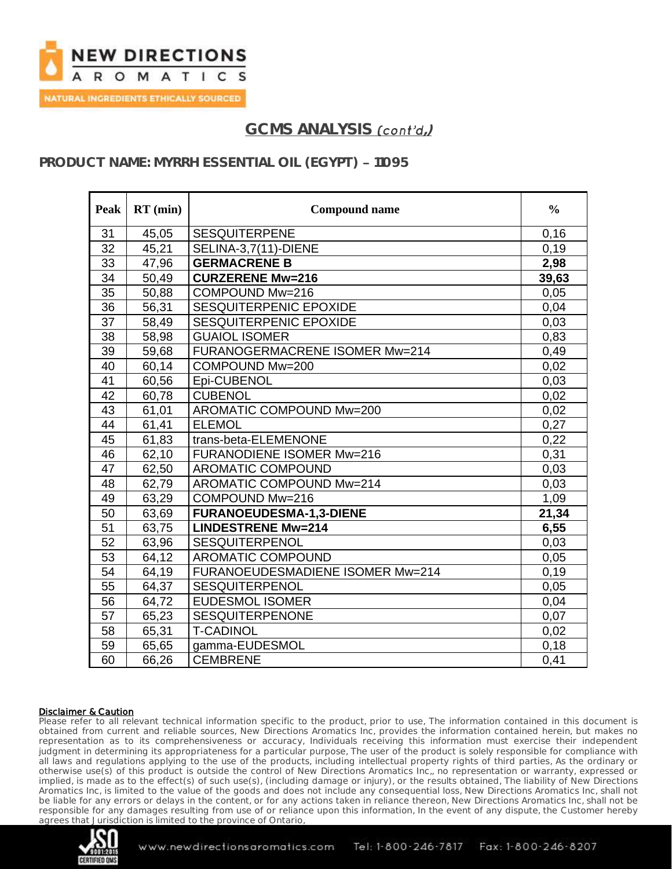

### **PRODUCT NAME: MYRRH ESSENTIAL OIL (EGYPT) - 11095**

| Peak            | $RT$ (min) | <b>Compound name</b>             | $\frac{0}{0}$ |
|-----------------|------------|----------------------------------|---------------|
| 31              | 45,05      | <b>SESQUITERPENE</b>             | 0,16          |
| 32              | 45,21      | SELINA-3,7(11)-DIENE             | 0,19          |
| 33              | 47,96      | <b>GERMACRENE B</b>              | 2,98          |
| 34              | 50,49      | <b>CURZERENE Mw=216</b>          | 39,63         |
| 35              | 50,88      | COMPOUND Mw=216                  | 0,05          |
| $\overline{36}$ | 56,31      | SESQUITERPENIC EPOXIDE           | 0,04          |
| 37              | 58,49      | SESQUITERPENIC EPOXIDE           | 0,03          |
| 38              | 58,98      | <b>GUAIOL ISOMER</b>             | 0,83          |
| 39              | 59,68      | FURANOGERMACRENE ISOMER Mw=214   | 0,49          |
| 40              | 60,14      | COMPOUND Mw=200                  | 0,02          |
| 41              | 60,56      | Epi-CUBENOL                      | 0,03          |
| 42              | 60,78      | <b>CUBENOL</b>                   | 0,02          |
| 43              | 61,01      | AROMATIC COMPOUND Mw=200         | 0,02          |
| 44              | 61,41      | <b>ELEMOL</b>                    | 0,27          |
| 45              | 61,83      | trans-beta-ELEMENONE             | 0,22          |
| 46              | 62,10      | <b>FURANODIENE ISOMER Mw=216</b> | 0,31          |
| 47              | 62,50      | <b>AROMATIC COMPOUND</b>         | 0,03          |
| 48              | 62,79      | AROMATIC COMPOUND Mw=214         | 0,03          |
| 49              | 63,29      | COMPOUND Mw=216                  | 1,09          |
| 50              | 63,69      | <b>FURANOEUDESMA-1,3-DIENE</b>   | 21,34         |
| 51              | 63,75      | <b>LINDESTRENE Mw=214</b>        | 6,55          |
| 52              | 63,96      | <b>SESQUITERPENOL</b>            | 0,03          |
| 53              | 64,12      | AROMATIC COMPOUND                | 0,05          |
| 54              | 64,19      | FURANOEUDESMADIENE ISOMER Mw=214 | 0,19          |
| 55              | 64,37      | <b>SESQUITERPENOL</b>            | 0,05          |
| 56              | 64,72      | <b>EUDESMOL ISOMER</b>           | 0,04          |
| 57              | 65,23      | SESQUITERPENONE                  | 0,07          |
| 58              | 65,31      | <b>T-CADINOL</b>                 | 0,02          |
| 59              | 65,65      | gamma-EUDESMOL                   | 0,18          |
| 60              | 66,26      | <b>CEMBRENE</b>                  | 0,41          |

#### Disclaimer & Caution

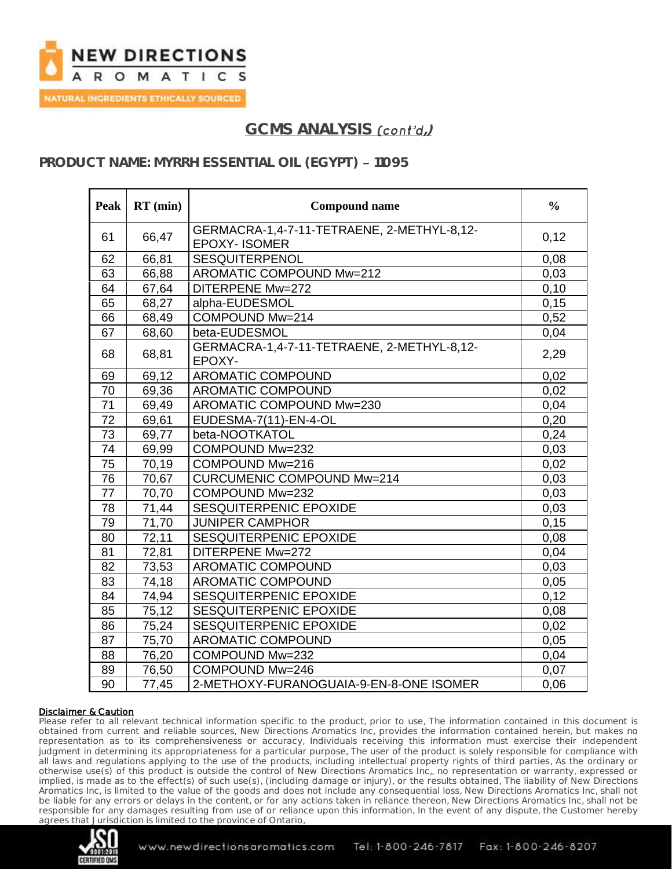

### **PRODUCT NAME: MYRRH ESSENTIAL OIL (EGYPT) - 11095**

| <b>Peak</b>     | $RT$ (min) | <b>Compound name</b>                                              | $\frac{6}{6}$ |
|-----------------|------------|-------------------------------------------------------------------|---------------|
| 61              | 66,47      | GERMACRA-1,4-7-11-TETRAENE, 2-METHYL-8,12-<br><b>EPOXY-ISOMER</b> | 0,12          |
| 62              | 66,81      | <b>SESQUITERPENOL</b>                                             | 0,08          |
| 63              | 66,88      | AROMATIC COMPOUND Mw=212                                          | 0,03          |
| 64              | 67,64      | DITERPENE Mw=272                                                  | 0,10          |
| 65              | 68,27      | alpha-EUDESMOL                                                    | 0,15          |
| 66              | 68,49      | COMPOUND Mw=214                                                   | 0,52          |
| 67              | 68,60      | beta-EUDESMOL                                                     | 0,04          |
| 68              | 68,81      | GERMACRA-1,4-7-11-TETRAENE, 2-METHYL-8,12-<br>EPOXY-              | 2,29          |
| 69              | 69,12      | AROMATIC COMPOUND                                                 | 0,02          |
| 70              | 69,36      | AROMATIC COMPOUND                                                 | 0,02          |
| $\overline{71}$ | 69,49      | AROMATIC COMPOUND Mw=230                                          | 0,04          |
| 72              | 69,61      | EUDESMA-7(11)-EN-4-OL                                             | 0,20          |
| 73              | 69,77      | beta-NOOTKATOL                                                    | 0,24          |
| 74              | 69,99      | COMPOUND Mw=232                                                   | 0,03          |
| 75              | 70,19      | COMPOUND Mw=216                                                   | 0,02          |
| 76              | 70,67      | <b>CURCUMENIC COMPOUND Mw=214</b>                                 | 0,03          |
| $\overline{77}$ | 70,70      | COMPOUND Mw=232                                                   | 0,03          |
| 78              | 71,44      | SESQUITERPENIC EPOXIDE                                            | 0,03          |
| 79              | 71,70      | <b>JUNIPER CAMPHOR</b>                                            | 0,15          |
| 80              | 72,11      | SESQUITERPENIC EPOXIDE                                            | 0,08          |
| 81              | 72,81      | DITERPENE Mw=272                                                  | 0,04          |
| 82              | 73,53      | <b>AROMATIC COMPOUND</b>                                          | 0,03          |
| 83              | 74,18      | <b>AROMATIC COMPOUND</b>                                          | 0,05          |
| 84              | 74,94      | <b>SESQUITERPENIC EPOXIDE</b>                                     | 0,12          |
| 85              | 75,12      | SESQUITERPENIC EPOXIDE                                            | 0,08          |
| 86              | 75,24      | SESQUITERPENIC EPOXIDE                                            | 0,02          |
| 87              | 75,70      | AROMATIC COMPOUND                                                 | 0,05          |
| 88              | 76,20      | COMPOUND Mw=232                                                   | 0,04          |
| 89              | 76,50      | COMPOUND Mw=246                                                   | 0,07          |
| 90              | 77,45      | 2-METHOXY-FURANOGUAIA-9-EN-8-ONE ISOMER                           | 0,06          |

#### Disclaimer & Caution

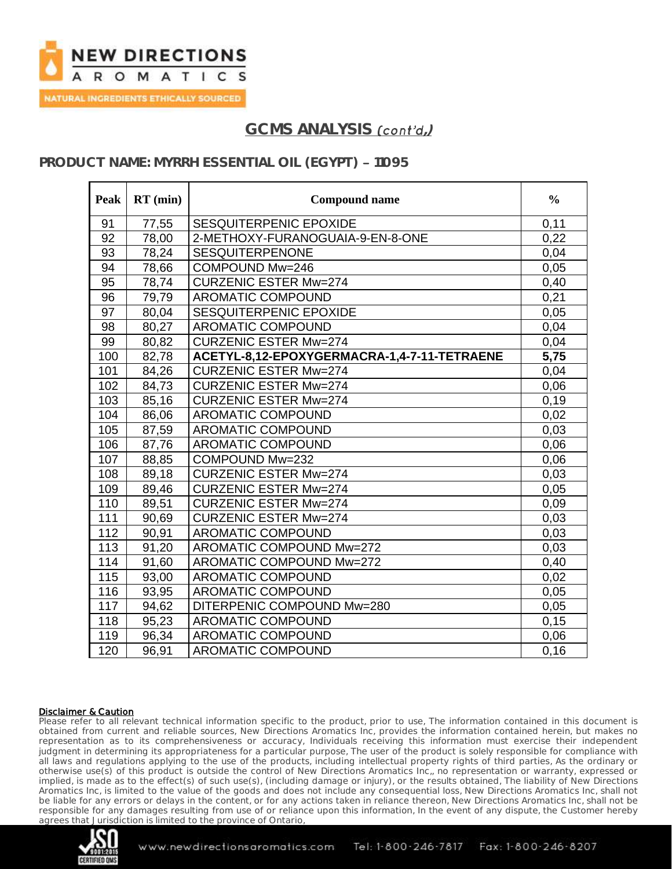

## PRODUCT NAME: MYRRH ESSENTIAL OIL (EGYPT) - 11095

| Peak | $RT$ (min) | <b>Compound name</b>                        | $\frac{0}{0}$ |
|------|------------|---------------------------------------------|---------------|
| 91   | 77,55      | SESQUITERPENIC EPOXIDE                      | 0,11          |
| 92   | 78,00      | 2-METHOXY-FURANOGUAIA-9-EN-8-ONE            | 0,22          |
| 93   | 78,24      | <b>SESQUITERPENONE</b>                      | 0,04          |
| 94   | 78,66      | COMPOUND Mw=246                             | 0,05          |
| 95   | 78,74      | <b>CURZENIC ESTER Mw=274</b>                | 0,40          |
| 96   | 79,79      | <b>AROMATIC COMPOUND</b>                    | 0,21          |
| 97   | 80,04      | SESQUITERPENIC EPOXIDE                      | 0,05          |
| 98   | 80,27      | <b>AROMATIC COMPOUND</b>                    | 0,04          |
| 99   | 80,82      | <b>CURZENIC ESTER Mw=274</b>                | 0,04          |
| 100  | 82,78      | ACETYL-8,12-EPOXYGERMACRA-1,4-7-11-TETRAENE | 5,75          |
| 101  | 84,26      | <b>CURZENIC ESTER Mw=274</b>                | 0,04          |
| 102  | 84,73      | <b>CURZENIC ESTER Mw=274</b>                | 0,06          |
| 103  | 85,16      | <b>CURZENIC ESTER Mw=274</b>                | 0,19          |
| 104  | 86,06      | <b>AROMATIC COMPOUND</b>                    | 0,02          |
| 105  | 87,59      | <b>AROMATIC COMPOUND</b>                    | 0,03          |
| 106  | 87,76      | <b>AROMATIC COMPOUND</b>                    | 0,06          |
| 107  | 88,85      | COMPOUND Mw=232                             | 0,06          |
| 108  | 89,18      | <b>CURZENIC ESTER Mw=274</b>                | 0,03          |
| 109  | 89,46      | <b>CURZENIC ESTER Mw=274</b>                | 0,05          |
| 110  | 89,51      | <b>CURZENIC ESTER Mw=274</b>                | 0,09          |
| 111  | 90,69      | <b>CURZENIC ESTER Mw=274</b>                | 0,03          |
| 112  | 90,91      | <b>AROMATIC COMPOUND</b>                    | 0,03          |
| 113  | 91,20      | AROMATIC COMPOUND Mw=272                    | 0,03          |
| 114  | 91,60      | AROMATIC COMPOUND Mw=272                    | 0,40          |
| 115  | 93,00      | AROMATIC COMPOUND                           | 0,02          |
| 116  | 93,95      | <b>AROMATIC COMPOUND</b>                    | 0,05          |
| 117  | 94,62      | DITERPENIC COMPOUND Mw=280                  | 0,05          |
| 118  | 95,23      | <b>AROMATIC COMPOUND</b>                    | 0,15          |
| 119  | 96,34      | <b>AROMATIC COMPOUND</b>                    | 0,06          |
| 120  | 96,91      | <b>AROMATIC COMPOUND</b>                    | 0,16          |

#### Disclaimer & Caution